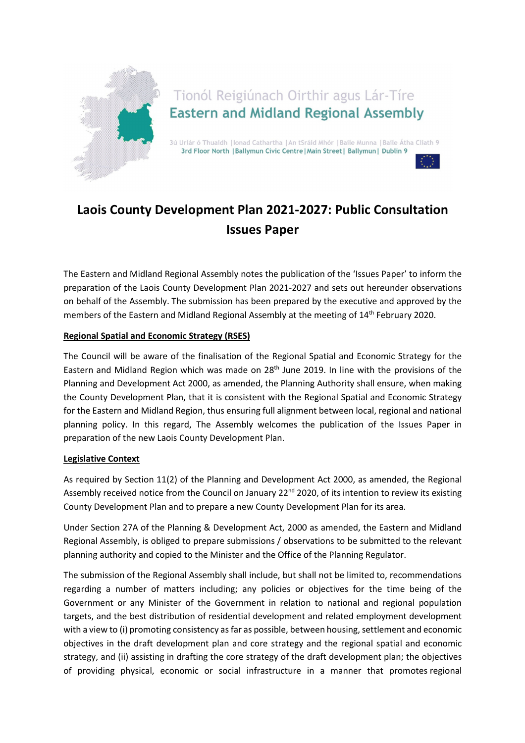

Tionól Reigiúnach Oirthir agus Lár-Tíre **Eastern and Midland Regional Assembly** 

3ú Urlár ó Thuaidh | Ionad Cathartha | An tSráid Mhór | Baile Munna | Baile Átha Cliath 9 3rd Floor North | Ballymun Civic Centre | Main Street | Ballymun | Dublin 9



# Laois County Development Plan 2021-2027: Public Consultation Issues Paper

The Eastern and Midland Regional Assembly notes the publication of the 'Issues Paper' to inform the preparation of the Laois County Development Plan 2021-2027 and sets out hereunder observations on behalf of the Assembly. The submission has been prepared by the executive and approved by the members of the Eastern and Midland Regional Assembly at the meeting of 14th February 2020.

# Regional Spatial and Economic Strategy (RSES)

The Council will be aware of the finalisation of the Regional Spatial and Economic Strategy for the Eastern and Midland Region which was made on 28<sup>th</sup> June 2019. In line with the provisions of the Planning and Development Act 2000, as amended, the Planning Authority shall ensure, when making the County Development Plan, that it is consistent with the Regional Spatial and Economic Strategy for the Eastern and Midland Region, thus ensuring full alignment between local, regional and national planning policy. In this regard, The Assembly welcomes the publication of the Issues Paper in preparation of the new Laois County Development Plan.

# Legislative Context

As required by Section 11(2) of the Planning and Development Act 2000, as amended, the Regional Assembly received notice from the Council on January 22<sup>nd</sup> 2020, of its intention to review its existing County Development Plan and to prepare a new County Development Plan for its area.

Under Section 27A of the Planning & Development Act, 2000 as amended, the Eastern and Midland Regional Assembly, is obliged to prepare submissions / observations to be submitted to the relevant planning authority and copied to the Minister and the Office of the Planning Regulator.

The submission of the Regional Assembly shall include, but shall not be limited to, recommendations regarding a number of matters including; any policies or objectives for the time being of the Government or any Minister of the Government in relation to national and regional population targets, and the best distribution of residential development and related employment development with a view to (i) promoting consistency as far as possible, between housing, settlement and economic objectives in the draft development plan and core strategy and the regional spatial and economic strategy, and (ii) assisting in drafting the core strategy of the draft development plan; the objectives of providing physical, economic or social infrastructure in a manner that promotes regional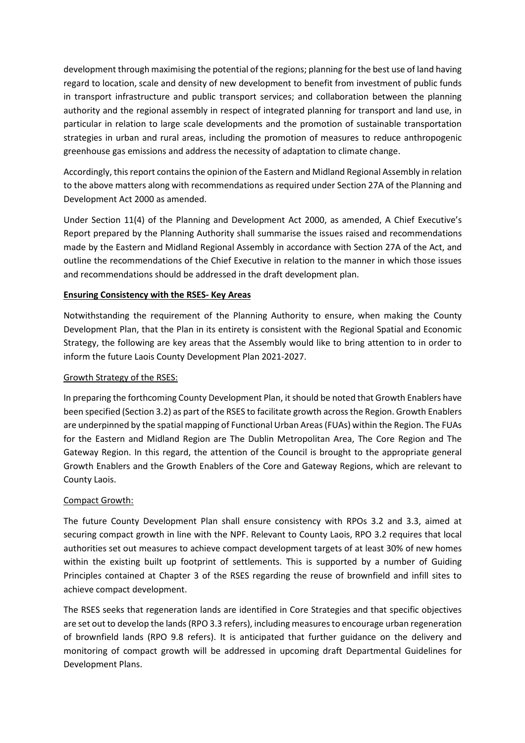development through maximising the potential of the regions; planning for the best use of land having regard to location, scale and density of new development to benefit from investment of public funds in transport infrastructure and public transport services; and collaboration between the planning authority and the regional assembly in respect of integrated planning for transport and land use, in particular in relation to large scale developments and the promotion of sustainable transportation strategies in urban and rural areas, including the promotion of measures to reduce anthropogenic greenhouse gas emissions and address the necessity of adaptation to climate change.

Accordingly, this report contains the opinion of the Eastern and Midland Regional Assembly in relation to the above matters along with recommendations as required under Section 27A of the Planning and Development Act 2000 as amended.

Under Section 11(4) of the Planning and Development Act 2000, as amended, A Chief Executive's Report prepared by the Planning Authority shall summarise the issues raised and recommendations made by the Eastern and Midland Regional Assembly in accordance with Section 27A of the Act, and outline the recommendations of the Chief Executive in relation to the manner in which those issues and recommendations should be addressed in the draft development plan.

# Ensuring Consistency with the RSES- Key Areas

Notwithstanding the requirement of the Planning Authority to ensure, when making the County Development Plan, that the Plan in its entirety is consistent with the Regional Spatial and Economic Strategy, the following are key areas that the Assembly would like to bring attention to in order to inform the future Laois County Development Plan 2021-2027.

#### Growth Strategy of the RSES:

In preparing the forthcoming County Development Plan, it should be noted that Growth Enablers have been specified (Section 3.2) as part of the RSES to facilitate growth across the Region. Growth Enablers are underpinned by the spatial mapping of Functional Urban Areas (FUAs) within the Region. The FUAs for the Eastern and Midland Region are The Dublin Metropolitan Area, The Core Region and The Gateway Region. In this regard, the attention of the Council is brought to the appropriate general Growth Enablers and the Growth Enablers of the Core and Gateway Regions, which are relevant to County Laois.

# Compact Growth:

The future County Development Plan shall ensure consistency with RPOs 3.2 and 3.3, aimed at securing compact growth in line with the NPF. Relevant to County Laois, RPO 3.2 requires that local authorities set out measures to achieve compact development targets of at least 30% of new homes within the existing built up footprint of settlements. This is supported by a number of Guiding Principles contained at Chapter 3 of the RSES regarding the reuse of brownfield and infill sites to achieve compact development.

The RSES seeks that regeneration lands are identified in Core Strategies and that specific objectives are set out to develop the lands (RPO 3.3 refers), including measures to encourage urban regeneration of brownfield lands (RPO 9.8 refers). It is anticipated that further guidance on the delivery and monitoring of compact growth will be addressed in upcoming draft Departmental Guidelines for Development Plans.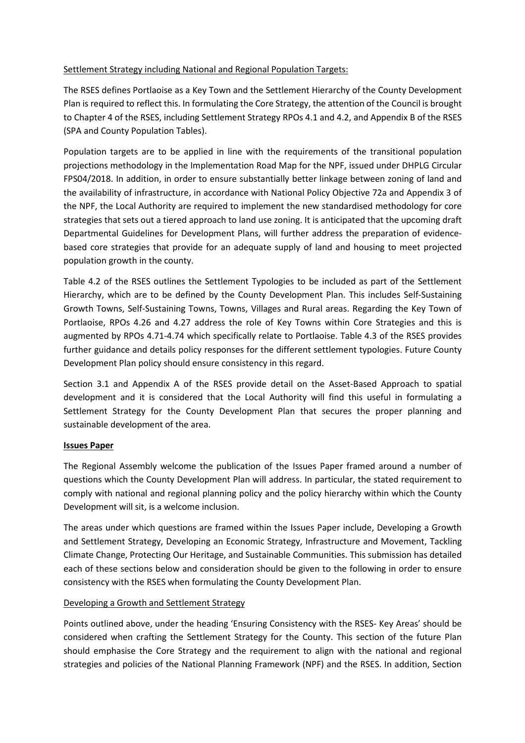### Settlement Strategy including National and Regional Population Targets:

The RSES defines Portlaoise as a Key Town and the Settlement Hierarchy of the County Development Plan is required to reflect this. In formulating the Core Strategy, the attention of the Council is brought to Chapter 4 of the RSES, including Settlement Strategy RPOs 4.1 and 4.2, and Appendix B of the RSES (SPA and County Population Tables).

Population targets are to be applied in line with the requirements of the transitional population projections methodology in the Implementation Road Map for the NPF, issued under DHPLG Circular FPS04/2018. In addition, in order to ensure substantially better linkage between zoning of land and the availability of infrastructure, in accordance with National Policy Objective 72a and Appendix 3 of the NPF, the Local Authority are required to implement the new standardised methodology for core strategies that sets out a tiered approach to land use zoning. It is anticipated that the upcoming draft Departmental Guidelines for Development Plans, will further address the preparation of evidencebased core strategies that provide for an adequate supply of land and housing to meet projected population growth in the county.

Table 4.2 of the RSES outlines the Settlement Typologies to be included as part of the Settlement Hierarchy, which are to be defined by the County Development Plan. This includes Self-Sustaining Growth Towns, Self-Sustaining Towns, Towns, Villages and Rural areas. Regarding the Key Town of Portlaoise, RPOs 4.26 and 4.27 address the role of Key Towns within Core Strategies and this is augmented by RPOs 4.71-4.74 which specifically relate to Portlaoise. Table 4.3 of the RSES provides further guidance and details policy responses for the different settlement typologies. Future County Development Plan policy should ensure consistency in this regard.

Section 3.1 and Appendix A of the RSES provide detail on the Asset-Based Approach to spatial development and it is considered that the Local Authority will find this useful in formulating a Settlement Strategy for the County Development Plan that secures the proper planning and sustainable development of the area.

#### Issues Paper

The Regional Assembly welcome the publication of the Issues Paper framed around a number of questions which the County Development Plan will address. In particular, the stated requirement to comply with national and regional planning policy and the policy hierarchy within which the County Development will sit, is a welcome inclusion.

The areas under which questions are framed within the Issues Paper include, Developing a Growth and Settlement Strategy, Developing an Economic Strategy, Infrastructure and Movement, Tackling Climate Change, Protecting Our Heritage, and Sustainable Communities. This submission has detailed each of these sections below and consideration should be given to the following in order to ensure consistency with the RSES when formulating the County Development Plan.

# Developing a Growth and Settlement Strategy

Points outlined above, under the heading 'Ensuring Consistency with the RSES- Key Areas' should be considered when crafting the Settlement Strategy for the County. This section of the future Plan should emphasise the Core Strategy and the requirement to align with the national and regional strategies and policies of the National Planning Framework (NPF) and the RSES. In addition, Section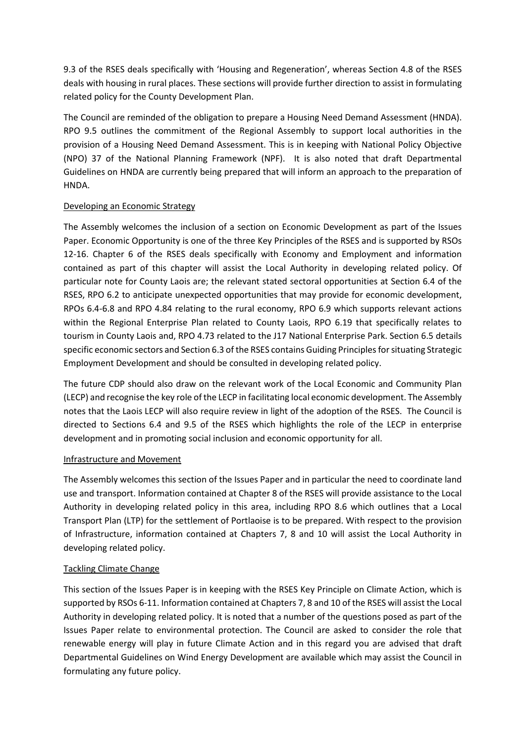9.3 of the RSES deals specifically with 'Housing and Regeneration', whereas Section 4.8 of the RSES deals with housing in rural places. These sections will provide further direction to assist in formulating related policy for the County Development Plan.

The Council are reminded of the obligation to prepare a Housing Need Demand Assessment (HNDA). RPO 9.5 outlines the commitment of the Regional Assembly to support local authorities in the provision of a Housing Need Demand Assessment. This is in keeping with National Policy Objective (NPO) 37 of the National Planning Framework (NPF). It is also noted that draft Departmental Guidelines on HNDA are currently being prepared that will inform an approach to the preparation of HNDA.

# Developing an Economic Strategy

The Assembly welcomes the inclusion of a section on Economic Development as part of the Issues Paper. Economic Opportunity is one of the three Key Principles of the RSES and is supported by RSOs 12-16. Chapter 6 of the RSES deals specifically with Economy and Employment and information contained as part of this chapter will assist the Local Authority in developing related policy. Of particular note for County Laois are; the relevant stated sectoral opportunities at Section 6.4 of the RSES, RPO 6.2 to anticipate unexpected opportunities that may provide for economic development, RPOs 6.4-6.8 and RPO 4.84 relating to the rural economy, RPO 6.9 which supports relevant actions within the Regional Enterprise Plan related to County Laois, RPO 6.19 that specifically relates to tourism in County Laois and, RPO 4.73 related to the J17 National Enterprise Park. Section 6.5 details specific economic sectors and Section 6.3 of the RSES contains Guiding Principles for situating Strategic Employment Development and should be consulted in developing related policy.

The future CDP should also draw on the relevant work of the Local Economic and Community Plan (LECP) and recognise the key role of the LECP in facilitating local economic development. The Assembly notes that the Laois LECP will also require review in light of the adoption of the RSES. The Council is directed to Sections 6.4 and 9.5 of the RSES which highlights the role of the LECP in enterprise development and in promoting social inclusion and economic opportunity for all.

# Infrastructure and Movement

The Assembly welcomes this section of the Issues Paper and in particular the need to coordinate land use and transport. Information contained at Chapter 8 of the RSES will provide assistance to the Local Authority in developing related policy in this area, including RPO 8.6 which outlines that a Local Transport Plan (LTP) for the settlement of Portlaoise is to be prepared. With respect to the provision of Infrastructure, information contained at Chapters 7, 8 and 10 will assist the Local Authority in developing related policy.

# Tackling Climate Change

This section of the Issues Paper is in keeping with the RSES Key Principle on Climate Action, which is supported by RSOs 6-11. Information contained at Chapters 7, 8 and 10 of the RSES will assist the Local Authority in developing related policy. It is noted that a number of the questions posed as part of the Issues Paper relate to environmental protection. The Council are asked to consider the role that renewable energy will play in future Climate Action and in this regard you are advised that draft Departmental Guidelines on Wind Energy Development are available which may assist the Council in formulating any future policy.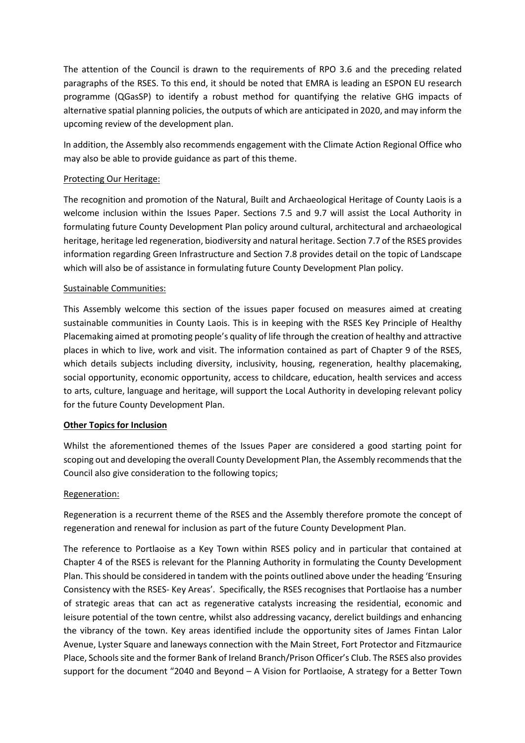The attention of the Council is drawn to the requirements of RPO 3.6 and the preceding related paragraphs of the RSES. To this end, it should be noted that EMRA is leading an ESPON EU research programme (QGasSP) to identify a robust method for quantifying the relative GHG impacts of alternative spatial planning policies, the outputs of which are anticipated in 2020, and may inform the upcoming review of the development plan.

In addition, the Assembly also recommends engagement with the Climate Action Regional Office who may also be able to provide guidance as part of this theme.

### Protecting Our Heritage:

The recognition and promotion of the Natural, Built and Archaeological Heritage of County Laois is a welcome inclusion within the Issues Paper. Sections 7.5 and 9.7 will assist the Local Authority in formulating future County Development Plan policy around cultural, architectural and archaeological heritage, heritage led regeneration, biodiversity and natural heritage. Section 7.7 of the RSES provides information regarding Green Infrastructure and Section 7.8 provides detail on the topic of Landscape which will also be of assistance in formulating future County Development Plan policy.

#### Sustainable Communities:

This Assembly welcome this section of the issues paper focused on measures aimed at creating sustainable communities in County Laois. This is in keeping with the RSES Key Principle of Healthy Placemaking aimed at promoting people's quality of life through the creation of healthy and attractive places in which to live, work and visit. The information contained as part of Chapter 9 of the RSES, which details subjects including diversity, inclusivity, housing, regeneration, healthy placemaking, social opportunity, economic opportunity, access to childcare, education, health services and access to arts, culture, language and heritage, will support the Local Authority in developing relevant policy for the future County Development Plan.

#### Other Topics for Inclusion

Whilst the aforementioned themes of the Issues Paper are considered a good starting point for scoping out and developing the overall County Development Plan, the Assembly recommends that the Council also give consideration to the following topics;

#### Regeneration:

Regeneration is a recurrent theme of the RSES and the Assembly therefore promote the concept of regeneration and renewal for inclusion as part of the future County Development Plan.

The reference to Portlaoise as a Key Town within RSES policy and in particular that contained at Chapter 4 of the RSES is relevant for the Planning Authority in formulating the County Development Plan. This should be considered in tandem with the points outlined above under the heading 'Ensuring Consistency with the RSES- Key Areas'. Specifically, the RSES recognises that Portlaoise has a number of strategic areas that can act as regenerative catalysts increasing the residential, economic and leisure potential of the town centre, whilst also addressing vacancy, derelict buildings and enhancing the vibrancy of the town. Key areas identified include the opportunity sites of James Fintan Lalor Avenue, Lyster Square and laneways connection with the Main Street, Fort Protector and Fitzmaurice Place, Schools site and the former Bank of Ireland Branch/Prison Officer's Club. The RSES also provides support for the document "2040 and Beyond – A Vision for Portlaoise, A strategy for a Better Town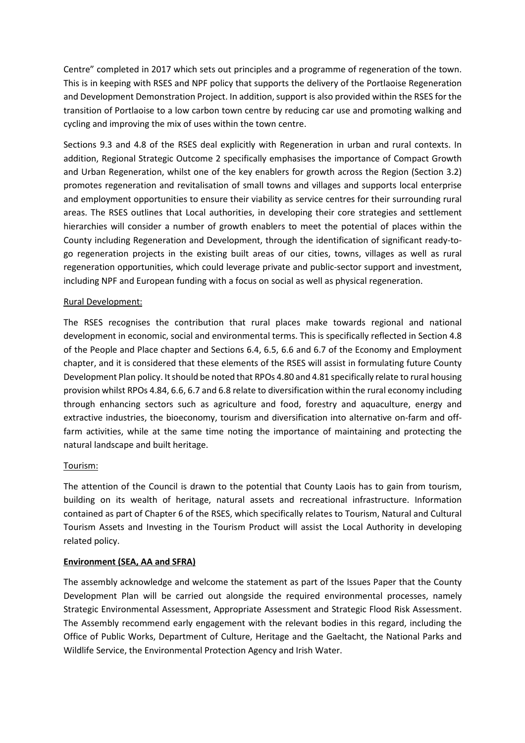Centre" completed in 2017 which sets out principles and a programme of regeneration of the town. This is in keeping with RSES and NPF policy that supports the delivery of the Portlaoise Regeneration and Development Demonstration Project. In addition, support is also provided within the RSES for the transition of Portlaoise to a low carbon town centre by reducing car use and promoting walking and cycling and improving the mix of uses within the town centre.

Sections 9.3 and 4.8 of the RSES deal explicitly with Regeneration in urban and rural contexts. In addition, Regional Strategic Outcome 2 specifically emphasises the importance of Compact Growth and Urban Regeneration, whilst one of the key enablers for growth across the Region (Section 3.2) promotes regeneration and revitalisation of small towns and villages and supports local enterprise and employment opportunities to ensure their viability as service centres for their surrounding rural areas. The RSES outlines that Local authorities, in developing their core strategies and settlement hierarchies will consider a number of growth enablers to meet the potential of places within the County including Regeneration and Development, through the identification of significant ready-togo regeneration projects in the existing built areas of our cities, towns, villages as well as rural regeneration opportunities, which could leverage private and public-sector support and investment, including NPF and European funding with a focus on social as well as physical regeneration.

#### Rural Development:

The RSES recognises the contribution that rural places make towards regional and national development in economic, social and environmental terms. This is specifically reflected in Section 4.8 of the People and Place chapter and Sections 6.4, 6.5, 6.6 and 6.7 of the Economy and Employment chapter, and it is considered that these elements of the RSES will assist in formulating future County Development Plan policy. It should be noted that RPOs 4.80 and 4.81 specifically relate to rural housing provision whilst RPOs 4.84, 6.6, 6.7 and 6.8 relate to diversification within the rural economy including through enhancing sectors such as agriculture and food, forestry and aquaculture, energy and extractive industries, the bioeconomy, tourism and diversification into alternative on-farm and offfarm activities, while at the same time noting the importance of maintaining and protecting the natural landscape and built heritage.

#### Tourism:

The attention of the Council is drawn to the potential that County Laois has to gain from tourism, building on its wealth of heritage, natural assets and recreational infrastructure. Information contained as part of Chapter 6 of the RSES, which specifically relates to Tourism, Natural and Cultural Tourism Assets and Investing in the Tourism Product will assist the Local Authority in developing related policy.

#### Environment (SEA, AA and SFRA)

The assembly acknowledge and welcome the statement as part of the Issues Paper that the County Development Plan will be carried out alongside the required environmental processes, namely Strategic Environmental Assessment, Appropriate Assessment and Strategic Flood Risk Assessment. The Assembly recommend early engagement with the relevant bodies in this regard, including the Office of Public Works, Department of Culture, Heritage and the Gaeltacht, the National Parks and Wildlife Service, the Environmental Protection Agency and Irish Water.